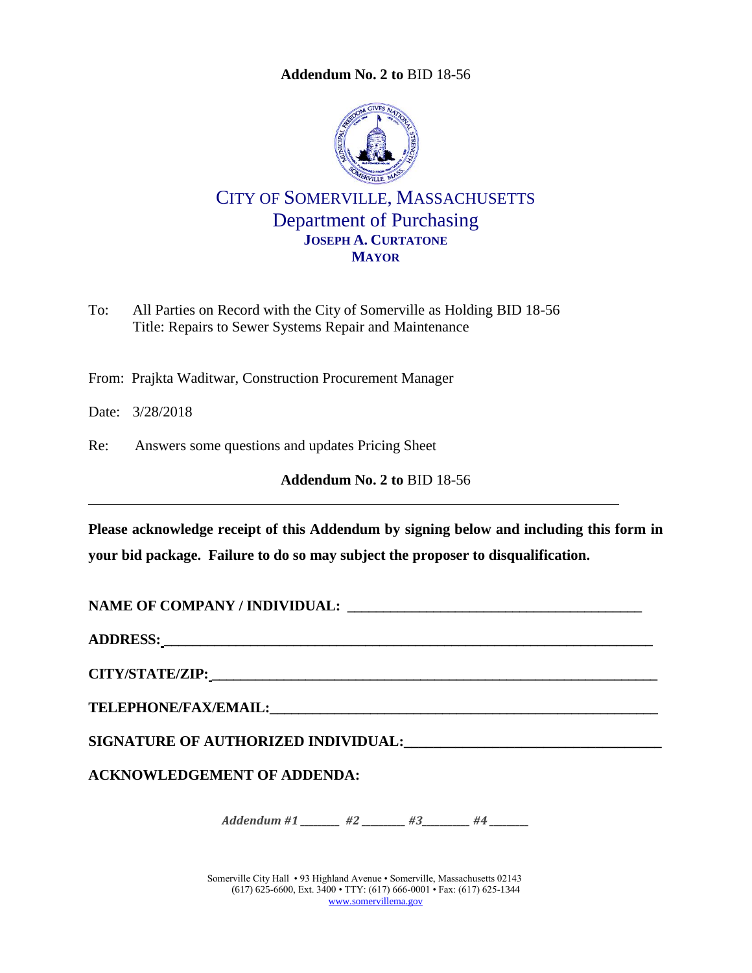<span id="page-0-0"></span>

CITY OF SOMERVILLE, MASSACHUSETTS Department of Purchasing **JOSEPH A. CURTATONE MAYOR**

To: All Parties on Record with the City of Somerville as Holding BID 18-56 Title: Repairs to Sewer Systems Repair and Maintenance

From: Prajkta Waditwar, Construction Procurement Manager

Date: 3/28/2018

Re: Answers some questions and updates Pricing Sheet

**Addendum No. 2 to** [BID 18-56](#page-0-0)

**Please acknowledge receipt of this Addendum by signing below and including this form in your bid package. Failure to do so may subject the proposer to disqualification.**

**NAME OF COMPANY / INDIVIDUAL: \_\_\_\_\_\_\_\_\_\_\_\_\_\_\_\_\_\_\_\_\_\_\_\_\_\_\_\_\_\_\_\_\_\_\_\_\_\_\_\_\_**

**ADDRESS: \_\_\_\_\_\_\_\_\_\_\_\_\_\_\_\_\_\_\_\_\_\_\_\_\_\_\_\_\_\_\_\_\_\_\_\_\_\_\_\_\_\_\_\_\_\_\_\_\_\_\_\_\_\_\_\_\_\_\_\_\_\_\_\_\_\_\_\_**

**CITY/STATE/ZIP: \_\_\_\_\_\_\_\_\_\_\_\_\_\_\_\_\_\_\_\_\_\_\_\_\_\_\_\_\_\_\_\_\_\_\_\_\_\_\_\_\_\_\_\_\_\_\_\_\_\_\_\_\_\_\_\_\_\_\_\_\_\_**

**TELEPHONE/FAX/EMAIL:\_\_\_\_\_\_\_\_\_\_\_\_\_\_\_\_\_\_\_\_\_\_\_\_\_\_\_\_\_\_\_\_\_\_\_\_\_\_\_\_\_\_\_\_\_\_\_\_\_\_\_\_\_\_**

**SIGNATURE OF AUTHORIZED INDIVIDUAL:\_\_\_\_\_\_\_\_\_\_\_\_\_\_\_\_\_\_\_\_\_\_\_\_\_\_\_\_\_\_\_\_\_\_\_**

**ACKNOWLEDGEMENT OF ADDENDA:**

*Addendum #1 \_\_\_\_\_\_\_ #2 \_\_\_\_\_\_ #3 \_\_\_\_\_\_ #4* \_\_\_\_\_

Somerville City Hall • 93 Highland Avenue • Somerville, Massachusetts 02143 (617) 625-6600, Ext. 3400 • TTY: (617) 666-0001 • Fax: (617) 625-1344 [www.somervillema.gov](http://www.somervillema.gov/)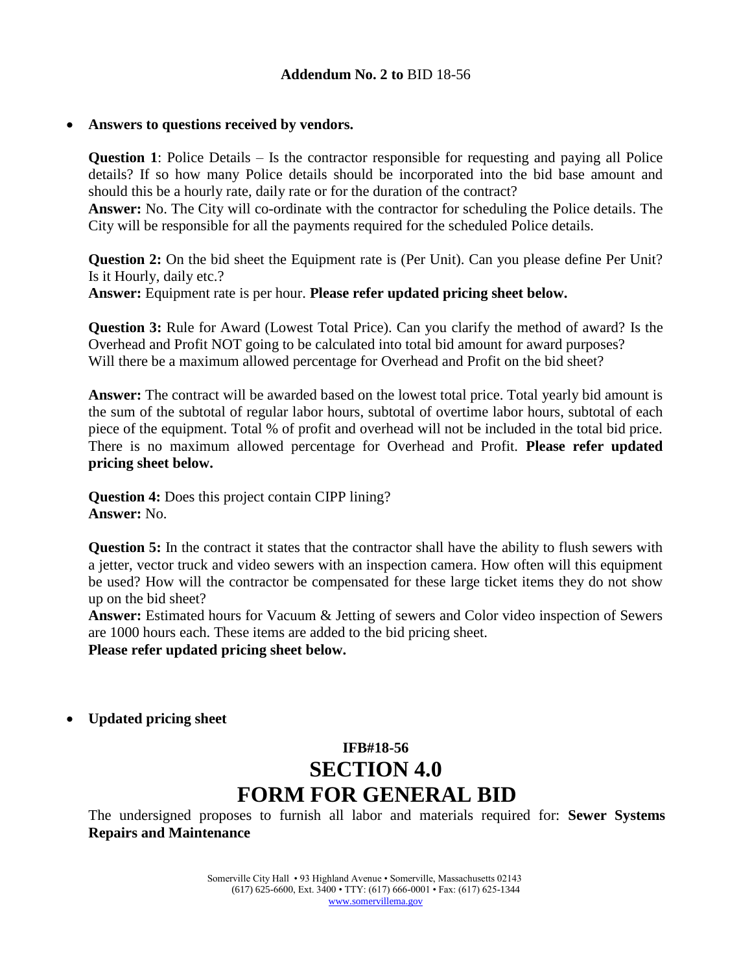#### **Answers to questions received by vendors.**

**Question 1**: Police Details – Is the contractor responsible for requesting and paying all Police details? If so how many Police details should be incorporated into the bid base amount and should this be a hourly rate, daily rate or for the duration of the contract?

**Answer:** No. The City will co-ordinate with the contractor for scheduling the Police details. The City will be responsible for all the payments required for the scheduled Police details.

**Question 2:** On the bid sheet the Equipment rate is (Per Unit). Can you please define Per Unit? Is it Hourly, daily etc.?

**Answer:** Equipment rate is per hour. **Please refer updated pricing sheet below.**

**Question 3:** Rule for Award (Lowest Total Price). Can you clarify the method of award? Is the Overhead and Profit NOT going to be calculated into total bid amount for award purposes? Will there be a maximum allowed percentage for Overhead and Profit on the bid sheet?

**Answer:** The contract will be awarded based on the lowest total price. Total yearly bid amount is the sum of the subtotal of regular labor hours, subtotal of overtime labor hours, subtotal of each piece of the equipment. Total % of profit and overhead will not be included in the total bid price. There is no maximum allowed percentage for Overhead and Profit. **Please refer updated pricing sheet below.**

**Question 4:** Does this project contain CIPP lining? **Answer:** No.

**Question 5:** In the contract it states that the contractor shall have the ability to flush sewers with a jetter, vector truck and video sewers with an inspection camera. How often will this equipment be used? How will the contractor be compensated for these large ticket items they do not show up on the bid sheet?

**Answer:** Estimated hours for Vacuum & Jetting of sewers and Color video inspection of Sewers are 1000 hours each. These items are added to the bid pricing sheet.

**Please refer updated pricing sheet below.**

**Updated pricing sheet**

# **IFB#18-56 SECTION 4.0 FORM FOR GENERAL BID**

The undersigned proposes to furnish all labor and materials required for: **Sewer Systems Repairs and Maintenance**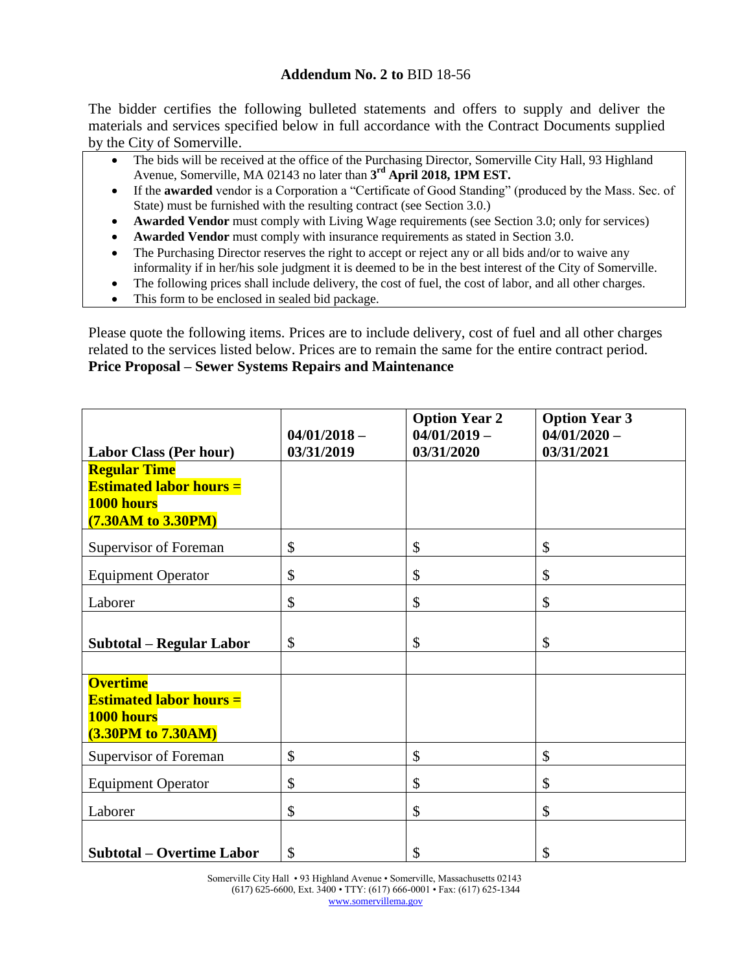The bidder certifies the following bulleted statements and offers to supply and deliver the materials and services specified below in full accordance with the Contract Documents supplied by the City of Somerville.

- The bids will be received at the office of the Purchasing Director, Somerville City Hall, 93 Highland Avenue, Somerville, MA 02143 no later than **3 rd April 2018, 1PM EST.**
- If the **awarded** vendor is a Corporation a "Certificate of Good Standing" (produced by the Mass. Sec. of State) must be furnished with the resulting contract (see Section 3.0.)
- **Awarded Vendor** must comply with Living Wage requirements (see Section 3.0; only for services)
- **Awarded Vendor** must comply with insurance requirements as stated in Section 3.0.
- The Purchasing Director reserves the right to accept or reject any or all bids and/or to waive any informality if in her/his sole judgment it is deemed to be in the best interest of the City of Somerville.
- The following prices shall include delivery, the cost of fuel, the cost of labor, and all other charges.
- This form to be enclosed in sealed bid package.

Please quote the following items. Prices are to include delivery, cost of fuel and all other charges related to the services listed below. Prices are to remain the same for the entire contract period. **Price Proposal – Sewer Systems Repairs and Maintenance**

|                                                                                             | $04/01/2018 -$ | <b>Option Year 2</b><br>$04/01/2019 -$ | <b>Option Year 3</b><br>$04/01/2020 -$ |
|---------------------------------------------------------------------------------------------|----------------|----------------------------------------|----------------------------------------|
| <b>Labor Class (Per hour)</b>                                                               | 03/31/2019     | 03/31/2020                             | 03/31/2021                             |
| <b>Regular Time</b><br><b>Estimated labor hours =</b><br>1000 hours<br>(7.30AM to 3.30PM)   |                |                                        |                                        |
| Supervisor of Foreman                                                                       | \$             | \$                                     | \$                                     |
| <b>Equipment Operator</b>                                                                   | \$             | \$                                     | \$                                     |
| Laborer                                                                                     | \$             | \$                                     | \$                                     |
| <b>Subtotal - Regular Labor</b>                                                             | \$             | \$                                     | \$                                     |
| <b>Overtime</b><br><b>Estimated labor hours =</b><br>1000 hours<br>$(3.30$ PM to $7.30$ AM) |                |                                        |                                        |
| Supervisor of Foreman                                                                       | \$             | $\mathcal{S}$                          | \$                                     |
| <b>Equipment Operator</b>                                                                   | \$             | \$                                     | \$                                     |
| Laborer                                                                                     | \$             | \$                                     | \$                                     |
| <b>Subtotal – Overtime Labor</b>                                                            | \$             | \$                                     | \$                                     |

Somerville City Hall • 93 Highland Avenue • Somerville, Massachusetts 02143 (617) 625-6600, Ext. 3400 • TTY: (617) 666-0001 • Fax: (617) 625-1344 [www.somervillema.gov](http://www.somervillema.gov/)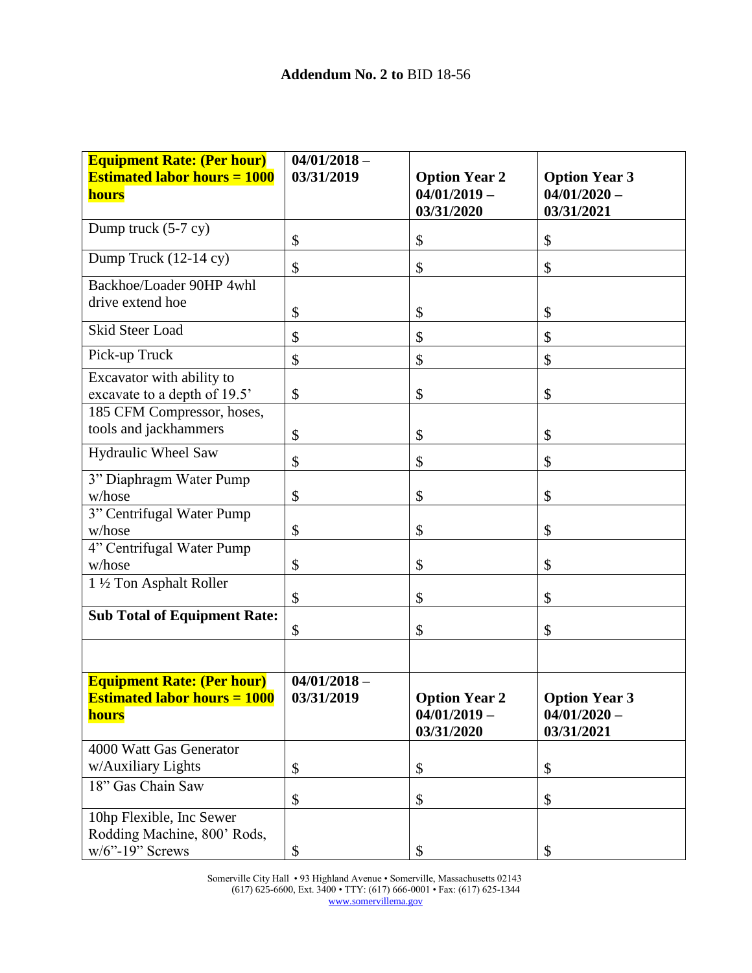| <b>Equipment Rate: (Per hour)</b><br><b>Estimated labor hours = 1000</b><br>hours | $04/01/2018 -$<br>03/31/2019 | <b>Option Year 2</b><br>$04/01/2019 -$<br>03/31/2020 | <b>Option Year 3</b><br>$04/01/2020 -$<br>03/31/2021 |  |  |  |
|-----------------------------------------------------------------------------------|------------------------------|------------------------------------------------------|------------------------------------------------------|--|--|--|
| Dump truck (5-7 cy)                                                               | \$                           | \$                                                   | \$                                                   |  |  |  |
| Dump Truck (12-14 cy)                                                             | \$                           | \$                                                   | \$                                                   |  |  |  |
| Backhoe/Loader 90HP 4whl                                                          |                              |                                                      |                                                      |  |  |  |
| drive extend hoe                                                                  | \$                           | \$                                                   | \$                                                   |  |  |  |
| Skid Steer Load                                                                   | \$                           | \$                                                   | \$                                                   |  |  |  |
| Pick-up Truck                                                                     | \$                           | \$                                                   | \$                                                   |  |  |  |
| Excavator with ability to                                                         |                              |                                                      |                                                      |  |  |  |
| excavate to a depth of 19.5'                                                      | \$                           | \$                                                   | \$                                                   |  |  |  |
| 185 CFM Compressor, hoses,<br>tools and jackhammers                               |                              |                                                      |                                                      |  |  |  |
|                                                                                   | \$                           | \$                                                   | \$                                                   |  |  |  |
| <b>Hydraulic Wheel Saw</b>                                                        | \$                           | \$                                                   | \$                                                   |  |  |  |
| 3" Diaphragm Water Pump                                                           |                              |                                                      |                                                      |  |  |  |
| w/hose                                                                            | \$                           | \$                                                   | \$                                                   |  |  |  |
| 3" Centrifugal Water Pump                                                         |                              |                                                      |                                                      |  |  |  |
| w/hose                                                                            | \$                           | \$                                                   | \$                                                   |  |  |  |
| 4" Centrifugal Water Pump<br>w/hose                                               | \$                           | \$                                                   | \$                                                   |  |  |  |
| 1 1/2 Ton Asphalt Roller                                                          |                              |                                                      |                                                      |  |  |  |
|                                                                                   | \$                           | \$                                                   | \$                                                   |  |  |  |
| <b>Sub Total of Equipment Rate:</b>                                               |                              |                                                      |                                                      |  |  |  |
|                                                                                   | \$                           | \$                                                   | \$                                                   |  |  |  |
|                                                                                   |                              |                                                      |                                                      |  |  |  |
| <b>Equipment Rate: (Per hour)</b>                                                 | $04/01/2018 -$               |                                                      |                                                      |  |  |  |
| <b>Estimated labor hours = 1000</b>                                               | 03/31/2019                   | <b>Option Year 2</b>                                 | <b>Option Year 3</b>                                 |  |  |  |
| <b>hours</b>                                                                      |                              | $04/01/2019 -$<br>03/31/2020                         | $04/01/2020 -$                                       |  |  |  |
| 4000 Watt Gas Generator                                                           |                              |                                                      | 03/31/2021                                           |  |  |  |
| w/Auxiliary Lights                                                                | \$                           | \$                                                   | \$                                                   |  |  |  |
| 18" Gas Chain Saw                                                                 |                              |                                                      |                                                      |  |  |  |
|                                                                                   | \$                           | \$                                                   | \$                                                   |  |  |  |
| 10hp Flexible, Inc Sewer<br>Rodding Machine, 800' Rods,                           |                              |                                                      |                                                      |  |  |  |
| $w/6$ "-19" Screws                                                                | \$                           | \$                                                   | \$                                                   |  |  |  |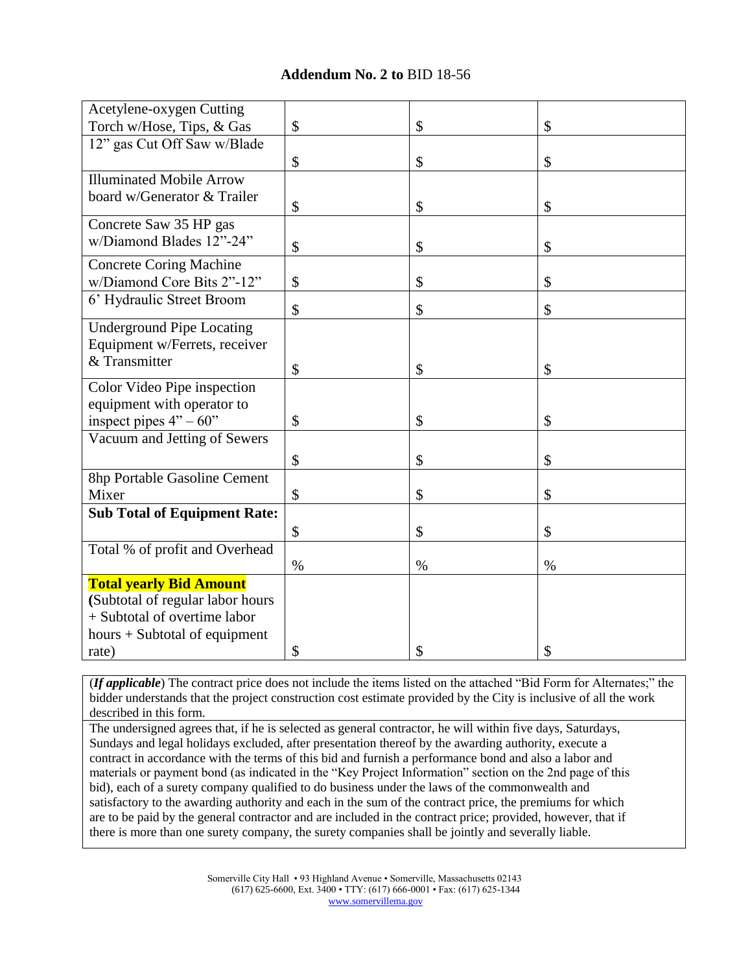| Acetylene-oxygen Cutting            |      |      |      |
|-------------------------------------|------|------|------|
| Torch w/Hose, Tips, & Gas           | \$   | \$   | \$   |
| 12" gas Cut Off Saw w/Blade         |      |      |      |
|                                     | \$   | \$   | \$   |
| <b>Illuminated Mobile Arrow</b>     |      |      |      |
| board w/Generator & Trailer         | \$   | \$   | \$   |
| Concrete Saw 35 HP gas              |      |      |      |
| w/Diamond Blades 12"-24"            | \$   | \$   | \$   |
| <b>Concrete Coring Machine</b>      |      |      |      |
| w/Diamond Core Bits 2"-12"          | \$   | \$   | \$   |
| 6' Hydraulic Street Broom           | \$   | \$   | \$   |
| <b>Underground Pipe Locating</b>    |      |      |      |
| Equipment w/Ferrets, receiver       |      |      |      |
| & Transmitter                       | \$   | \$   | \$   |
| Color Video Pipe inspection         |      |      |      |
| equipment with operator to          |      |      |      |
| inspect pipes $4" - 60"$            | \$   | \$   | \$   |
| Vacuum and Jetting of Sewers        |      |      |      |
|                                     | \$   | \$   | \$   |
| 8hp Portable Gasoline Cement        |      |      |      |
| Mixer                               | \$   | \$   | \$   |
| <b>Sub Total of Equipment Rate:</b> |      |      |      |
|                                     | \$   | \$   | \$   |
| Total % of profit and Overhead      |      |      |      |
|                                     | $\%$ | $\%$ | $\%$ |
| <b>Total yearly Bid Amount</b>      |      |      |      |
| (Subtotal of regular labor hours    |      |      |      |
| + Subtotal of overtime labor        |      |      |      |
| hours $+$ Subtotal of equipment     |      |      |      |
| rate)                               | \$   | \$   | \$   |

(*If applicable*) The contract price does not include the items listed on the attached "Bid Form for Alternates;" the bidder understands that the project construction cost estimate provided by the City is inclusive of all the work described in this form.

The undersigned agrees that, if he is selected as general contractor, he will within five days, Saturdays, Sundays and legal holidays excluded, after presentation thereof by the awarding authority, execute a contract in accordance with the terms of this bid and furnish a performance bond and also a labor and materials or payment bond (as indicated in the "Key Project Information" section on the 2nd page of this bid), each of a surety company qualified to do business under the laws of the commonwealth and satisfactory to the awarding authority and each in the sum of the contract price, the premiums for which are to be paid by the general contractor and are included in the contract price; provided, however, that if there is more than one surety company, the surety companies shall be jointly and severally liable.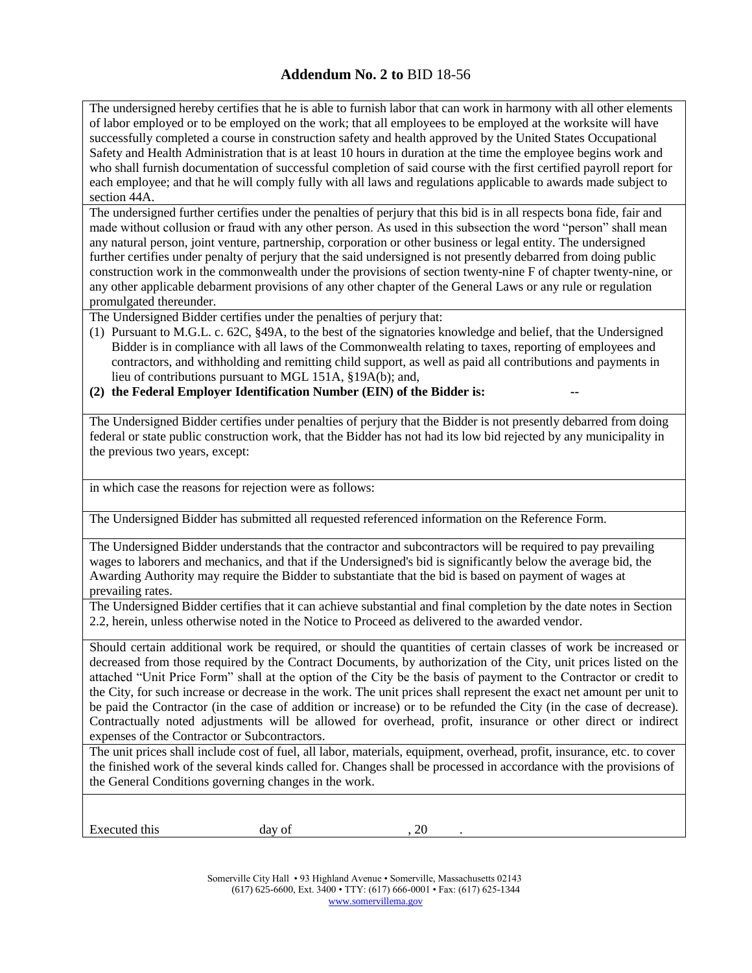The undersigned hereby certifies that he is able to furnish labor that can work in harmony with all other elements of labor employed or to be employed on the work; that all employees to be employed at the worksite will have successfully completed a course in construction safety and health approved by the United States Occupational Safety and Health Administration that is at least 10 hours in duration at the time the employee begins work and who shall furnish documentation of successful completion of said course with the first certified payroll report for each employee; and that he will comply fully with all laws and regulations applicable to awards made subject to section 44A.

The undersigned further certifies under the penalties of perjury that this bid is in all respects bona fide, fair and made without collusion or fraud with any other person. As used in this subsection the word "person" shall mean any natural person, joint venture, partnership, corporation or other business or legal entity. The undersigned further certifies under penalty of perjury that the said undersigned is not presently debarred from doing public construction work in the commonwealth under the provisions of section twenty-nine F of chapter twenty-nine, or any other applicable debarment provisions of any other chapter of the General Laws or any rule or regulation promulgated thereunder.

The Undersigned Bidder certifies under the penalties of perjury that:

(1) Pursuant to M.G.L. c. 62C, §49A, to the best of the signatories knowledge and belief, that the Undersigned Bidder is in compliance with all laws of the Commonwealth relating to taxes, reporting of employees and contractors, and withholding and remitting child support, as well as paid all contributions and payments in lieu of contributions pursuant to MGL 151A, §19A(b); and,

(2) the Federal Employer Identification Number (EIN) of the Bidder is:

The Undersigned Bidder certifies under penalties of perjury that the Bidder is not presently debarred from doing federal or state public construction work, that the Bidder has not had its low bid rejected by any municipality in the previous two years, except:

in which case the reasons for rejection were as follows:

The Undersigned Bidder has submitted all requested referenced information on the Reference Form.

The Undersigned Bidder understands that the contractor and subcontractors will be required to pay prevailing wages to laborers and mechanics, and that if the Undersigned's bid is significantly below the average bid, the Awarding Authority may require the Bidder to substantiate that the bid is based on payment of wages at prevailing rates.

The Undersigned Bidder certifies that it can achieve substantial and final completion by the date notes in Section 2.2, herein, unless otherwise noted in the Notice to Proceed as delivered to the awarded vendor.

Should certain additional work be required, or should the quantities of certain classes of work be increased or decreased from those required by the Contract Documents, by authorization of the City, unit prices listed on the attached "Unit Price Form" shall at the option of the City be the basis of payment to the Contractor or credit to the City, for such increase or decrease in the work. The unit prices shall represent the exact net amount per unit to be paid the Contractor (in the case of addition or increase) or to be refunded the City (in the case of decrease). Contractually noted adjustments will be allowed for overhead, profit, insurance or other direct or indirect expenses of the Contractor or Subcontractors.

The unit prices shall include cost of fuel, all labor, materials, equipment, overhead, profit, insurance, etc. to cover the finished work of the several kinds called for. Changes shall be processed in accordance with the provisions of the General Conditions governing changes in the work.

Executed this day of , 20

Somerville City Hall • 93 Highland Avenue • Somerville, Massachusetts 02143 (617) 625-6600, Ext. 3400 • TTY: (617) 666-0001 • Fax: (617) 625-1344 [www.somervillema.gov](http://www.somervillema.gov/)